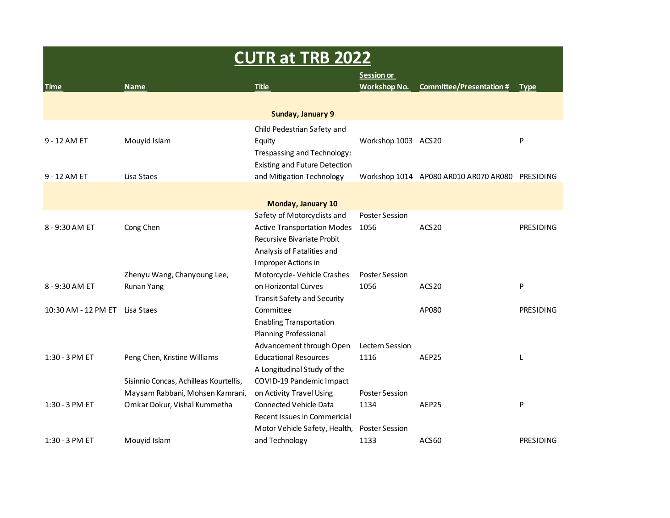| <b>CUTR at TRB 2022</b> |                                        |                                      |                       |                                                 |                  |  |
|-------------------------|----------------------------------------|--------------------------------------|-----------------------|-------------------------------------------------|------------------|--|
|                         |                                        |                                      | <b>Session or</b>     |                                                 |                  |  |
| <b>Time</b>             | <b>Name</b>                            | <b>Title</b>                         | <b>Workshop No.</b>   | <b>Committee/Presentation #</b>                 | <b>Type</b>      |  |
|                         |                                        |                                      |                       |                                                 |                  |  |
|                         |                                        | Sunday, January 9                    |                       |                                                 |                  |  |
|                         |                                        | Child Pedestrian Safety and          |                       |                                                 |                  |  |
| 9 - 12 AM ET            | Mouyid Islam                           | Equity                               | Workshop 1003 ACS20   |                                                 | P                |  |
|                         |                                        | Trespassing and Technology:          |                       |                                                 |                  |  |
|                         |                                        | <b>Existing and Future Detection</b> |                       |                                                 |                  |  |
| 9 - 12 AM ET            | Lisa Staes                             | and Mitigation Technology            |                       | Workshop 1014 AP080 AR010 AR070 AR080 PRESIDING |                  |  |
|                         |                                        |                                      |                       |                                                 |                  |  |
|                         |                                        | Monday, January 10                   |                       |                                                 |                  |  |
|                         |                                        | Safety of Motorcyclists and          | <b>Poster Session</b> |                                                 |                  |  |
| 8 - 9:30 AM ET          | Cong Chen                              | <b>Active Transportation Modes</b>   | 1056                  | ACS <sub>20</sub>                               | PRESIDING        |  |
|                         |                                        | Recursive Bivariate Probit           |                       |                                                 |                  |  |
|                         |                                        | Analysis of Fatalities and           |                       |                                                 |                  |  |
|                         |                                        | Improper Actions in                  |                       |                                                 |                  |  |
|                         | Zhenyu Wang, Chanyoung Lee,            | Motorcycle-Vehicle Crashes           | <b>Poster Session</b> |                                                 |                  |  |
| 8 - 9:30 AM ET          | Runan Yang                             | on Horizontal Curves                 | 1056                  | ACS <sub>20</sub>                               | P                |  |
|                         |                                        | <b>Transit Safety and Security</b>   |                       |                                                 |                  |  |
| 10:30 AM - 12 PM ET     | Lisa Staes                             | Committee                            |                       | AP080                                           | <b>PRESIDING</b> |  |
|                         |                                        | <b>Enabling Transportation</b>       |                       |                                                 |                  |  |
|                         |                                        | Planning Professional                |                       |                                                 |                  |  |
|                         |                                        | Advancement through Open             | Lectern Session       |                                                 |                  |  |
| 1:30 - 3 PM ET          | Peng Chen, Kristine Williams           | <b>Educational Resources</b>         | 1116                  | AEP25                                           | L                |  |
|                         |                                        | A Longitudinal Study of the          |                       |                                                 |                  |  |
|                         | Sisinnio Concas, Achilleas Kourtellis, | COVID-19 Pandemic Impact             |                       |                                                 |                  |  |
|                         | Maysam Rabbani, Mohsen Kamrani,        | on Activity Travel Using             | <b>Poster Session</b> |                                                 |                  |  |
| 1:30 - 3 PM ET          | Omkar Dokur, Vishal Kummetha           | Connected Vehicle Data               | 1134                  | AEP25                                           | P                |  |
|                         |                                        | Recent Issues in Commericial         |                       |                                                 |                  |  |
|                         |                                        | Motor Vehicle Safety, Health,        | <b>Poster Session</b> |                                                 |                  |  |
| 1:30 - 3 PM ET          | Mouyid Islam                           | and Technology                       | 1133                  | ACS60                                           | PRESIDING        |  |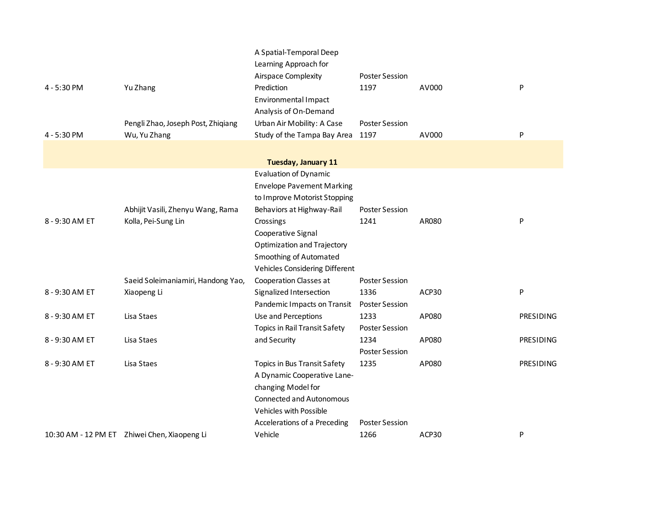|                |                                              | A Spatial-Temporal Deep                      |                       |       |           |
|----------------|----------------------------------------------|----------------------------------------------|-----------------------|-------|-----------|
|                |                                              | Learning Approach for<br>Airspace Complexity | <b>Poster Session</b> |       |           |
| 4 - 5:30 PM    | Yu Zhang                                     | Prediction                                   | 1197                  | AV000 | P         |
|                |                                              | Environmental Impact                         |                       |       |           |
|                |                                              | Analysis of On-Demand                        |                       |       |           |
|                | Pengli Zhao, Joseph Post, Zhiqiang           | Urban Air Mobility: A Case                   | <b>Poster Session</b> |       |           |
| 4 - 5:30 PM    | Wu, Yu Zhang                                 | Study of the Tampa Bay Area                  | 1197                  | AV000 | P         |
|                |                                              |                                              |                       |       |           |
|                |                                              | Tuesday, January 11                          |                       |       |           |
|                |                                              | <b>Evaluation of Dynamic</b>                 |                       |       |           |
|                |                                              | <b>Envelope Pavement Marking</b>             |                       |       |           |
|                |                                              | to Improve Motorist Stopping                 |                       |       |           |
|                | Abhijit Vasili, Zhenyu Wang, Rama            | Behaviors at Highway-Rail                    | <b>Poster Session</b> |       |           |
| 8 - 9:30 AM ET | Kolla, Pei-Sung Lin                          | Crossings                                    | 1241                  | AR080 | P         |
|                |                                              | Cooperative Signal                           |                       |       |           |
|                |                                              | Optimization and Trajectory                  |                       |       |           |
|                |                                              | Smoothing of Automated                       |                       |       |           |
|                |                                              | Vehicles Considering Different               |                       |       |           |
|                | Saeid Soleimaniamiri, Handong Yao,           | Cooperation Classes at                       | <b>Poster Session</b> |       |           |
| 8 - 9:30 AM ET | Xiaopeng Li                                  | Signalized Intersection                      | 1336                  | ACP30 | P         |
|                |                                              | Pandemic Impacts on Transit                  | <b>Poster Session</b> |       |           |
| 8 - 9:30 AM ET | Lisa Staes                                   | Use and Perceptions                          | 1233                  | AP080 | PRESIDING |
|                |                                              | <b>Topics in Rail Transit Safety</b>         | <b>Poster Session</b> |       |           |
| 8 - 9:30 AM ET | Lisa Staes                                   | and Security                                 | 1234                  | AP080 | PRESIDING |
|                |                                              |                                              | <b>Poster Session</b> |       |           |
| 8 - 9:30 AM ET | Lisa Staes                                   | Topics in Bus Transit Safety                 | 1235                  | AP080 | PRESIDING |
|                |                                              | A Dynamic Cooperative Lane-                  |                       |       |           |
|                |                                              | changing Model for                           |                       |       |           |
|                |                                              | <b>Connected and Autonomous</b>              |                       |       |           |
|                |                                              | Vehicles with Possible                       |                       |       |           |
|                |                                              | Accelerations of a Preceding                 | Poster Session        |       |           |
|                | 10:30 AM - 12 PM ET Zhiwei Chen, Xiaopeng Li | Vehicle                                      | 1266                  | ACP30 | P         |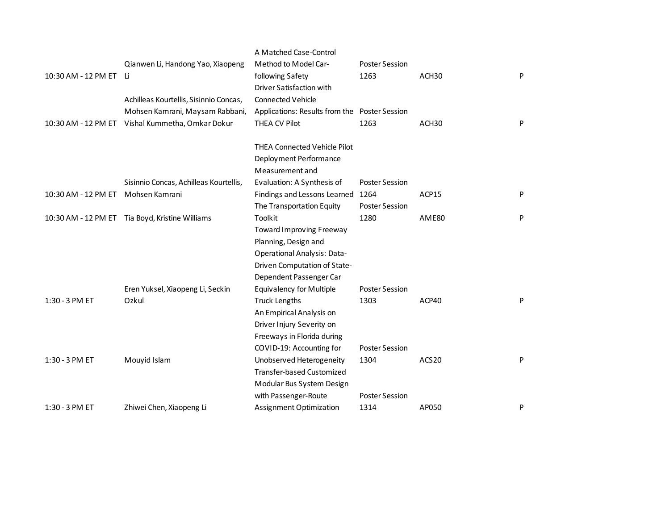|                     |                                                 | A Matched Case-Control                        |                       |                   |   |
|---------------------|-------------------------------------------------|-----------------------------------------------|-----------------------|-------------------|---|
|                     | Qianwen Li, Handong Yao, Xiaopeng               | Method to Model Car-                          | <b>Poster Session</b> |                   |   |
| 10:30 AM - 12 PM ET | Li.                                             | following Safety                              | 1263                  | ACH <sub>30</sub> | P |
|                     |                                                 | Driver Satisfaction with                      |                       |                   |   |
|                     | Achilleas Kourtellis, Sisinnio Concas,          | <b>Connected Vehicle</b>                      |                       |                   |   |
|                     | Mohsen Kamrani, Maysam Rabbani,                 | Applications: Results from the Poster Session |                       |                   |   |
| 10:30 AM - 12 PM ET | Vishal Kummetha, Omkar Dokur                    | THEA CV Pilot                                 | 1263                  | ACH30             | P |
|                     |                                                 | <b>THEA Connected Vehicle Pilot</b>           |                       |                   |   |
|                     |                                                 | Deployment Performance                        |                       |                   |   |
|                     |                                                 | Measurement and                               |                       |                   |   |
|                     | Sisinnio Concas, Achilleas Kourtellis,          | Evaluation: A Synthesis of                    | <b>Poster Session</b> |                   |   |
| 10:30 AM - 12 PM ET | Mohsen Kamrani                                  | Findings and Lessons Learned                  | 1264                  | ACP15             | P |
|                     |                                                 | The Transportation Equity                     | <b>Poster Session</b> |                   |   |
|                     | 10:30 AM - 12 PM ET Tia Boyd, Kristine Williams | Toolkit                                       | 1280                  | AME80             | P |
|                     |                                                 | <b>Toward Improving Freeway</b>               |                       |                   |   |
|                     |                                                 | Planning, Design and                          |                       |                   |   |
|                     |                                                 | <b>Operational Analysis: Data-</b>            |                       |                   |   |
|                     |                                                 | Driven Computation of State-                  |                       |                   |   |
|                     |                                                 | Dependent Passenger Car                       |                       |                   |   |
|                     | Eren Yuksel, Xiaopeng Li, Seckin                | Equivalency for Multiple                      | <b>Poster Session</b> |                   |   |
| 1:30 - 3 PM ET      | Ozkul                                           | <b>Truck Lengths</b>                          | 1303                  | ACP40             | P |
|                     |                                                 | An Empirical Analysis on                      |                       |                   |   |
|                     |                                                 | Driver Injury Severity on                     |                       |                   |   |
|                     |                                                 | Freeways in Florida during                    |                       |                   |   |
|                     |                                                 | COVID-19: Accounting for                      | <b>Poster Session</b> |                   |   |
| 1:30 - 3 PM ET      | Mouyid Islam                                    | Unobserved Heterogeneity                      | 1304                  | ACS <sub>20</sub> | P |
|                     |                                                 | <b>Transfer-based Customized</b>              |                       |                   |   |
|                     |                                                 | Modular Bus System Design                     |                       |                   |   |
|                     |                                                 | with Passenger-Route                          | <b>Poster Session</b> |                   |   |
| 1:30 - 3 PM ET      | Zhiwei Chen, Xiaopeng Li                        | Assignment Optimization                       | 1314                  | AP050             | P |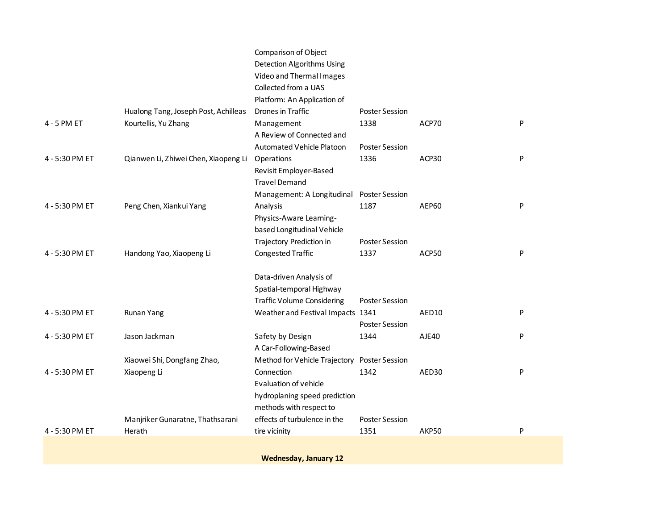|                |                                      | Comparison of Object              |                       |              |   |
|----------------|--------------------------------------|-----------------------------------|-----------------------|--------------|---|
|                |                                      | Detection Algorithms Using        |                       |              |   |
|                |                                      | Video and Thermal Images          |                       |              |   |
|                |                                      | Collected from a UAS              |                       |              |   |
|                |                                      | Platform: An Application of       |                       |              |   |
|                | Hualong Tang, Joseph Post, Achilleas | Drones in Traffic                 | <b>Poster Session</b> |              |   |
| 4 - 5 PM ET    | Kourtellis, Yu Zhang                 | Management                        | 1338                  | ACP70        | P |
|                |                                      | A Review of Connected and         |                       |              |   |
|                |                                      | Automated Vehicle Platoon         | <b>Poster Session</b> |              |   |
| 4 - 5:30 PM ET | Qianwen Li, Zhiwei Chen, Xiaopeng Li | Operations                        | 1336                  | ACP30        | P |
|                |                                      | Revisit Employer-Based            |                       |              |   |
|                |                                      | <b>Travel Demand</b>              |                       |              |   |
|                |                                      | Management: A Longitudinal        | <b>Poster Session</b> |              |   |
| 4 - 5:30 PM ET | Peng Chen, Xiankui Yang              | Analysis                          | 1187                  | <b>AEP60</b> | P |
|                |                                      | Physics-Aware Learning-           |                       |              |   |
|                |                                      | based Longitudinal Vehicle        |                       |              |   |
|                |                                      | Trajectory Prediction in          | <b>Poster Session</b> |              |   |
| 4 - 5:30 PM ET | Handong Yao, Xiaopeng Li             | <b>Congested Traffic</b>          | 1337                  | ACP50        | P |
|                |                                      | Data-driven Analysis of           |                       |              |   |
|                |                                      | Spatial-temporal Highway          |                       |              |   |
|                |                                      | <b>Traffic Volume Considering</b> | <b>Poster Session</b> |              |   |
| 4 - 5:30 PM ET | Runan Yang                           | Weather and Festival Impacts 1341 |                       | AED10        | P |
|                |                                      |                                   | <b>Poster Session</b> |              |   |
| 4 - 5:30 PM ET | Jason Jackman                        | Safety by Design                  | 1344                  | AJE40        | P |
|                |                                      | A Car-Following-Based             |                       |              |   |
|                | Xiaowei Shi, Dongfang Zhao,          | Method for Vehicle Trajectory     | <b>Poster Session</b> |              |   |
| 4 - 5:30 PM ET | Xiaopeng Li                          | Connection                        | 1342                  | AED30        | P |
|                |                                      | Evaluation of vehicle             |                       |              |   |
|                |                                      | hydroplaning speed prediction     |                       |              |   |
|                |                                      | methods with respect to           |                       |              |   |
|                | Manjriker Gunaratne, Thathsarani     | effects of turbulence in the      | <b>Poster Session</b> |              |   |
| 4 - 5:30 PM ET | Herath                               | tire vicinity                     | 1351                  | AKP50        | P |
|                |                                      |                                   |                       |              |   |

**Wednesday, January 12**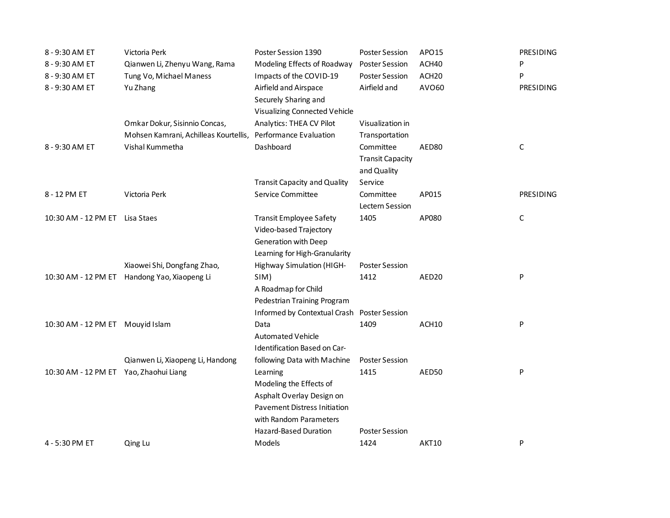| 8 - 9:30 AM ET                         | Victoria Perk                                | Poster Session 1390                  | <b>Poster Session</b>   | APO <sub>15</sub> | PRESIDING   |
|----------------------------------------|----------------------------------------------|--------------------------------------|-------------------------|-------------------|-------------|
| 8 - 9:30 AM ET                         | Qianwen Li, Zhenyu Wang, Rama                | Modeling Effects of Roadway          | <b>Poster Session</b>   | ACH40             | P           |
| 8 - 9:30 AM ET                         | Tung Vo, Michael Maness                      | Impacts of the COVID-19              | <b>Poster Session</b>   | ACH <sub>20</sub> | P           |
| 8 - 9:30 AM ET                         | Yu Zhang                                     | Airfield and Airspace                | Airfield and            | AV060             | PRESIDING   |
|                                        |                                              | Securely Sharing and                 |                         |                   |             |
|                                        |                                              | <b>Visualizing Connected Vehicle</b> |                         |                   |             |
|                                        | Omkar Dokur, Sisinnio Concas,                | Analytics: THEA CV Pilot             | Visualization in        |                   |             |
|                                        | Mohsen Kamrani, Achilleas Kourtellis,        | Performance Evaluation               | Transportation          |                   |             |
| 8 - 9:30 AM ET                         | Vishal Kummetha                              | Dashboard                            | Committee               | AED80             | $\mathsf C$ |
|                                        |                                              |                                      | <b>Transit Capacity</b> |                   |             |
|                                        |                                              |                                      | and Quality             |                   |             |
|                                        |                                              | <b>Transit Capacity and Quality</b>  | Service                 |                   |             |
| 8 - 12 PM ET                           | Victoria Perk                                | Service Committee                    | Committee               | AP015             | PRESIDING   |
|                                        |                                              |                                      | Lectern Session         |                   |             |
| 10:30 AM - 12 PM ET Lisa Staes         |                                              | <b>Transit Employee Safety</b>       | 1405                    | AP080             | $\mathsf C$ |
|                                        |                                              | Video-based Trajectory               |                         |                   |             |
|                                        |                                              | Generation with Deep                 |                         |                   |             |
|                                        |                                              | Learning for High-Granularity        |                         |                   |             |
|                                        | Xiaowei Shi, Dongfang Zhao,                  | Highway Simulation (HIGH-            | <b>Poster Session</b>   |                   |             |
|                                        | 10:30 AM - 12 PM ET Handong Yao, Xiaopeng Li | SIM)                                 | 1412                    | AED <sub>20</sub> | P           |
|                                        |                                              | A Roadmap for Child                  |                         |                   |             |
|                                        |                                              | Pedestrian Training Program          |                         |                   |             |
|                                        |                                              | Informed by Contextual Crash         | <b>Poster Session</b>   |                   |             |
| 10:30 AM - 12 PM ET Mouyid Islam       |                                              | Data                                 | 1409                    | ACH10             | P           |
|                                        |                                              | <b>Automated Vehicle</b>             |                         |                   |             |
|                                        |                                              | Identification Based on Car-         |                         |                   |             |
|                                        | Qianwen Li, Xiaopeng Li, Handong             | following Data with Machine          | <b>Poster Session</b>   |                   |             |
| 10:30 AM - 12 PM ET Yao, Zhaohui Liang |                                              | Learning                             | 1415                    | AED50             | P           |
|                                        |                                              | Modeling the Effects of              |                         |                   |             |
|                                        |                                              | Asphalt Overlay Design on            |                         |                   |             |
|                                        |                                              | <b>Pavement Distress Initiation</b>  |                         |                   |             |
|                                        |                                              | with Random Parameters               |                         |                   |             |
|                                        |                                              | <b>Hazard-Based Duration</b>         | <b>Poster Session</b>   |                   |             |
| 4 - 5:30 PM ET                         | Qing Lu                                      | Models                               | 1424                    | AKT10             | P           |